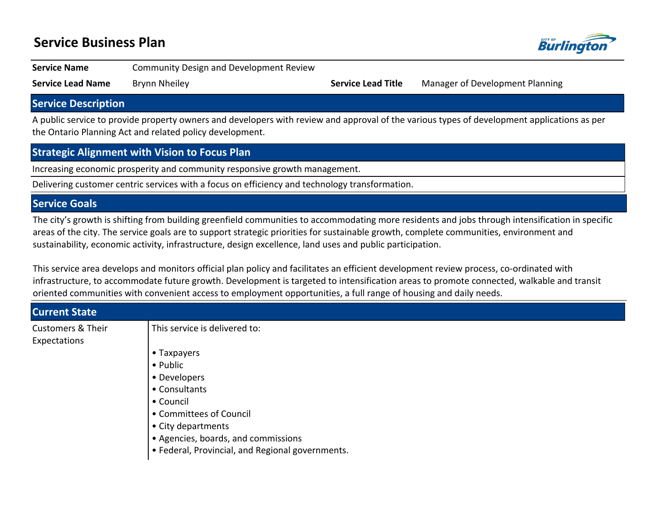## **Service Business Plan**



**Service Name Community Design and Development Review** 

**Service Lead Name** Brynn Nheiley **Service Lead Title** Manager of Development Planning

#### **Service Description**

A public service to provide property owners and developers with review and approval of the various types of development applications as per the Ontario Planning Act and related policy development.

### **Strategic Alignment with Vision to Focus Plan**

Increasing economic prosperity and community responsive growth management.

Delivering customer centric services with a focus on efficiency and technology transformation.

#### **Service Goals**

The city's growth is shifting from building greenfield communities to accommodating more residents and jobs through intensification in specific areas of the city. The service goals are to support strategic priorities for sustainable growth, complete communities, environment and sustainability, economic activity, infrastructure, design excellence, land uses and public participation.

This service area develops and monitors official plan policy and facilitates an efficient development review process, co-ordinated with infrastructure, to accommodate future growth. Development is targeted to intensification areas to promote connected, walkable and transit oriented communities with convenient access to employment opportunities, a full range of housing and daily needs.

| <b>Current State</b>         |                                                  |
|------------------------------|--------------------------------------------------|
| <b>Customers &amp; Their</b> | This service is delivered to:                    |
| Expectations                 |                                                  |
|                              | • Taxpayers                                      |
|                              | • Public                                         |
|                              | • Developers                                     |
|                              | • Consultants                                    |
|                              | • Council                                        |
|                              | • Committees of Council                          |
|                              | • City departments                               |
|                              | • Agencies, boards, and commissions              |
|                              | · Federal, Provincial, and Regional governments. |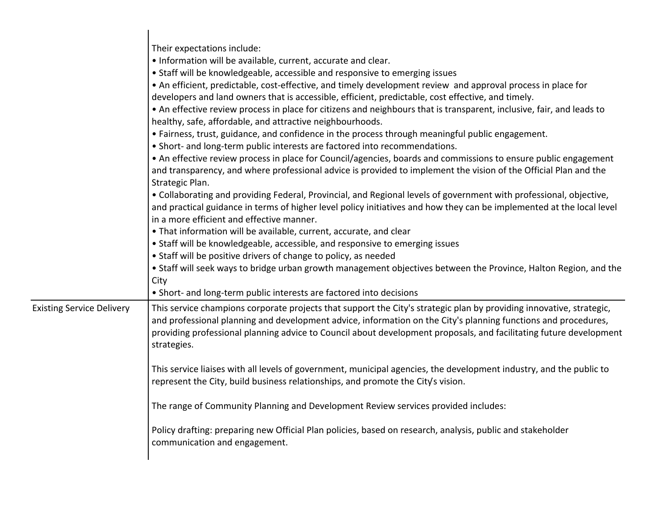|                                  | Their expectations include:<br>. Information will be available, current, accurate and clear.<br>• Staff will be knowledgeable, accessible and responsive to emerging issues<br>• An efficient, predictable, cost-effective, and timely development review and approval process in place for<br>developers and land owners that is accessible, efficient, predictable, cost effective, and timely.<br>• An effective review process in place for citizens and neighbours that is transparent, inclusive, fair, and leads to<br>healthy, safe, affordable, and attractive neighbourhoods.<br>• Fairness, trust, guidance, and confidence in the process through meaningful public engagement.<br>• Short- and long-term public interests are factored into recommendations.<br>• An effective review process in place for Council/agencies, boards and commissions to ensure public engagement<br>and transparency, and where professional advice is provided to implement the vision of the Official Plan and the<br>Strategic Plan.<br>. Collaborating and providing Federal, Provincial, and Regional levels of government with professional, objective,<br>and practical guidance in terms of higher level policy initiatives and how they can be implemented at the local level<br>in a more efficient and effective manner.<br>• That information will be available, current, accurate, and clear<br>• Staff will be knowledgeable, accessible, and responsive to emerging issues<br>• Staff will be positive drivers of change to policy, as needed<br>. Staff will seek ways to bridge urban growth management objectives between the Province, Halton Region, and the<br>City |
|----------------------------------|--------------------------------------------------------------------------------------------------------------------------------------------------------------------------------------------------------------------------------------------------------------------------------------------------------------------------------------------------------------------------------------------------------------------------------------------------------------------------------------------------------------------------------------------------------------------------------------------------------------------------------------------------------------------------------------------------------------------------------------------------------------------------------------------------------------------------------------------------------------------------------------------------------------------------------------------------------------------------------------------------------------------------------------------------------------------------------------------------------------------------------------------------------------------------------------------------------------------------------------------------------------------------------------------------------------------------------------------------------------------------------------------------------------------------------------------------------------------------------------------------------------------------------------------------------------------------------------------------------------------------------------------------------------------------------------|
| <b>Existing Service Delivery</b> | • Short- and long-term public interests are factored into decisions<br>This service champions corporate projects that support the City's strategic plan by providing innovative, strategic,<br>and professional planning and development advice, information on the City's planning functions and procedures,<br>providing professional planning advice to Council about development proposals, and facilitating future development<br>strategies.                                                                                                                                                                                                                                                                                                                                                                                                                                                                                                                                                                                                                                                                                                                                                                                                                                                                                                                                                                                                                                                                                                                                                                                                                                   |
|                                  | This service liaises with all levels of government, municipal agencies, the development industry, and the public to<br>represent the City, build business relationships, and promote the City's vision.                                                                                                                                                                                                                                                                                                                                                                                                                                                                                                                                                                                                                                                                                                                                                                                                                                                                                                                                                                                                                                                                                                                                                                                                                                                                                                                                                                                                                                                                              |
|                                  | The range of Community Planning and Development Review services provided includes:                                                                                                                                                                                                                                                                                                                                                                                                                                                                                                                                                                                                                                                                                                                                                                                                                                                                                                                                                                                                                                                                                                                                                                                                                                                                                                                                                                                                                                                                                                                                                                                                   |
|                                  | Policy drafting: preparing new Official Plan policies, based on research, analysis, public and stakeholder<br>communication and engagement.                                                                                                                                                                                                                                                                                                                                                                                                                                                                                                                                                                                                                                                                                                                                                                                                                                                                                                                                                                                                                                                                                                                                                                                                                                                                                                                                                                                                                                                                                                                                          |
|                                  |                                                                                                                                                                                                                                                                                                                                                                                                                                                                                                                                                                                                                                                                                                                                                                                                                                                                                                                                                                                                                                                                                                                                                                                                                                                                                                                                                                                                                                                                                                                                                                                                                                                                                      |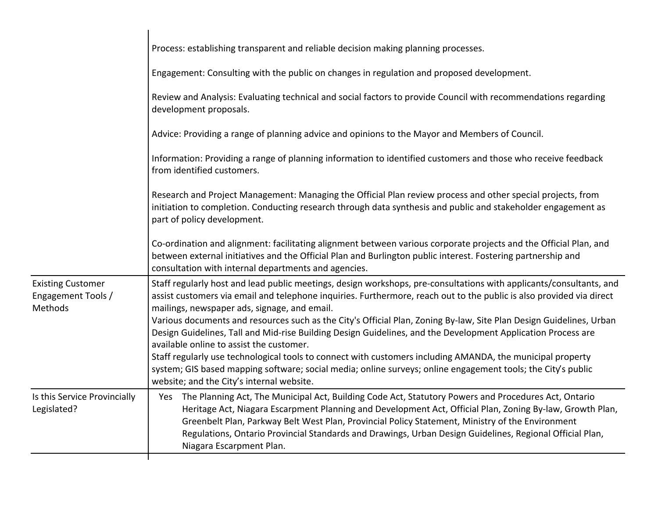|                                                           | Process: establishing transparent and reliable decision making planning processes.                                                                                                                                                                                                                                                                                                                                                                                |  |  |  |  |  |  |
|-----------------------------------------------------------|-------------------------------------------------------------------------------------------------------------------------------------------------------------------------------------------------------------------------------------------------------------------------------------------------------------------------------------------------------------------------------------------------------------------------------------------------------------------|--|--|--|--|--|--|
|                                                           | Engagement: Consulting with the public on changes in regulation and proposed development.                                                                                                                                                                                                                                                                                                                                                                         |  |  |  |  |  |  |
|                                                           | Review and Analysis: Evaluating technical and social factors to provide Council with recommendations regarding<br>development proposals.                                                                                                                                                                                                                                                                                                                          |  |  |  |  |  |  |
|                                                           | Advice: Providing a range of planning advice and opinions to the Mayor and Members of Council.                                                                                                                                                                                                                                                                                                                                                                    |  |  |  |  |  |  |
|                                                           | Information: Providing a range of planning information to identified customers and those who receive feedback<br>from identified customers.                                                                                                                                                                                                                                                                                                                       |  |  |  |  |  |  |
|                                                           | Research and Project Management: Managing the Official Plan review process and other special projects, from<br>initiation to completion. Conducting research through data synthesis and public and stakeholder engagement as<br>part of policy development.                                                                                                                                                                                                       |  |  |  |  |  |  |
|                                                           | Co-ordination and alignment: facilitating alignment between various corporate projects and the Official Plan, and<br>between external initiatives and the Official Plan and Burlington public interest. Fostering partnership and<br>consultation with internal departments and agencies.                                                                                                                                                                         |  |  |  |  |  |  |
| <b>Existing Customer</b><br>Engagement Tools /<br>Methods | Staff regularly host and lead public meetings, design workshops, pre-consultations with applicants/consultants, and<br>assist customers via email and telephone inquiries. Furthermore, reach out to the public is also provided via direct<br>mailings, newspaper ads, signage, and email.                                                                                                                                                                       |  |  |  |  |  |  |
|                                                           | Various documents and resources such as the City's Official Plan, Zoning By-law, Site Plan Design Guidelines, Urban<br>Design Guidelines, Tall and Mid-rise Building Design Guidelines, and the Development Application Process are<br>available online to assist the customer.                                                                                                                                                                                   |  |  |  |  |  |  |
|                                                           | Staff regularly use technological tools to connect with customers including AMANDA, the municipal property<br>system; GIS based mapping software; social media; online surveys; online engagement tools; the City's public<br>website; and the City's internal website.                                                                                                                                                                                           |  |  |  |  |  |  |
| Is this Service Provincially<br>Legislated?               | Yes The Planning Act, The Municipal Act, Building Code Act, Statutory Powers and Procedures Act, Ontario<br>Heritage Act, Niagara Escarpment Planning and Development Act, Official Plan, Zoning By-law, Growth Plan,<br>Greenbelt Plan, Parkway Belt West Plan, Provincial Policy Statement, Ministry of the Environment<br>Regulations, Ontario Provincial Standards and Drawings, Urban Design Guidelines, Regional Official Plan,<br>Niagara Escarpment Plan. |  |  |  |  |  |  |
|                                                           |                                                                                                                                                                                                                                                                                                                                                                                                                                                                   |  |  |  |  |  |  |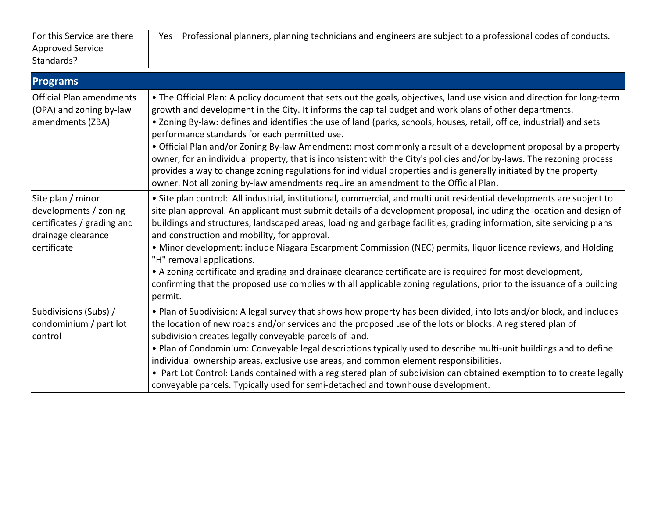| <b>Programs</b>                                                                                               |                                                                                                                                                                                                                                                                                                                                                                                                                                                                                                                                                                                                                                                                                                                                                                                                                                                                  |
|---------------------------------------------------------------------------------------------------------------|------------------------------------------------------------------------------------------------------------------------------------------------------------------------------------------------------------------------------------------------------------------------------------------------------------------------------------------------------------------------------------------------------------------------------------------------------------------------------------------------------------------------------------------------------------------------------------------------------------------------------------------------------------------------------------------------------------------------------------------------------------------------------------------------------------------------------------------------------------------|
| <b>Official Plan amendments</b><br>(OPA) and zoning by-law<br>amendments (ZBA)                                | • The Official Plan: A policy document that sets out the goals, objectives, land use vision and direction for long-term<br>growth and development in the City. It informs the capital budget and work plans of other departments.<br>• Zoning By-law: defines and identifies the use of land (parks, schools, houses, retail, office, industrial) and sets<br>performance standards for each permitted use.<br>• Official Plan and/or Zoning By-law Amendment: most commonly a result of a development proposal by a property<br>owner, for an individual property, that is inconsistent with the City's policies and/or by-laws. The rezoning process<br>provides a way to change zoning regulations for individual properties and is generally initiated by the property<br>owner. Not all zoning by-law amendments require an amendment to the Official Plan. |
| Site plan / minor<br>developments / zoning<br>certificates / grading and<br>drainage clearance<br>certificate | • Site plan control: All industrial, institutional, commercial, and multi unit residential developments are subject to<br>site plan approval. An applicant must submit details of a development proposal, including the location and design of<br>buildings and structures, landscaped areas, loading and garbage facilities, grading information, site servicing plans<br>and construction and mobility, for approval.<br>• Minor development: include Niagara Escarpment Commission (NEC) permits, liquor licence reviews, and Holding<br>"H" removal applications.<br>• A zoning certificate and grading and drainage clearance certificate are is required for most development,<br>confirming that the proposed use complies with all applicable zoning regulations, prior to the issuance of a building<br>permit.                                         |
| Subdivisions (Subs) /<br>condominium / part lot<br>control                                                    | . Plan of Subdivision: A legal survey that shows how property has been divided, into lots and/or block, and includes<br>the location of new roads and/or services and the proposed use of the lots or blocks. A registered plan of<br>subdivision creates legally conveyable parcels of land.<br>. Plan of Condominium: Conveyable legal descriptions typically used to describe multi-unit buildings and to define<br>individual ownership areas, exclusive use areas, and common element responsibilities.<br>• Part Lot Control: Lands contained with a registered plan of subdivision can obtained exemption to to create legally<br>conveyable parcels. Typically used for semi-detached and townhouse development.                                                                                                                                         |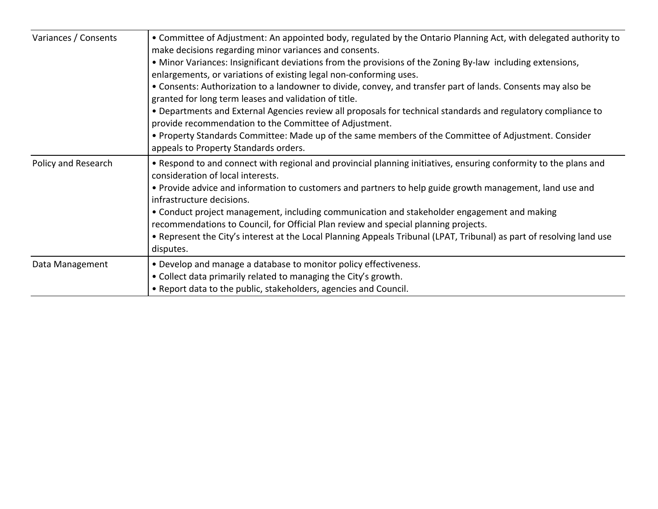| Variances / Consents | • Committee of Adjustment: An appointed body, regulated by the Ontario Planning Act, with delegated authority to<br>make decisions regarding minor variances and consents.<br>• Minor Variances: Insignificant deviations from the provisions of the Zoning By-law including extensions,<br>enlargements, or variations of existing legal non-conforming uses.<br>• Consents: Authorization to a landowner to divide, convey, and transfer part of lands. Consents may also be<br>granted for long term leases and validation of title.<br>. Departments and External Agencies review all proposals for technical standards and regulatory compliance to<br>provide recommendation to the Committee of Adjustment.<br>• Property Standards Committee: Made up of the same members of the Committee of Adjustment. Consider<br>appeals to Property Standards orders. |  |  |  |  |  |
|----------------------|---------------------------------------------------------------------------------------------------------------------------------------------------------------------------------------------------------------------------------------------------------------------------------------------------------------------------------------------------------------------------------------------------------------------------------------------------------------------------------------------------------------------------------------------------------------------------------------------------------------------------------------------------------------------------------------------------------------------------------------------------------------------------------------------------------------------------------------------------------------------|--|--|--|--|--|
| Policy and Research  | • Respond to and connect with regional and provincial planning initiatives, ensuring conformity to the plans and<br>consideration of local interests.<br>• Provide advice and information to customers and partners to help guide growth management, land use and<br>infrastructure decisions.<br>• Conduct project management, including communication and stakeholder engagement and making<br>recommendations to Council, for Official Plan review and special planning projects.<br>• Represent the City's interest at the Local Planning Appeals Tribunal (LPAT, Tribunal) as part of resolving land use<br>disputes.                                                                                                                                                                                                                                          |  |  |  |  |  |
| Data Management      | • Develop and manage a database to monitor policy effectiveness.<br>• Collect data primarily related to managing the City's growth.<br>• Report data to the public, stakeholders, agencies and Council.                                                                                                                                                                                                                                                                                                                                                                                                                                                                                                                                                                                                                                                             |  |  |  |  |  |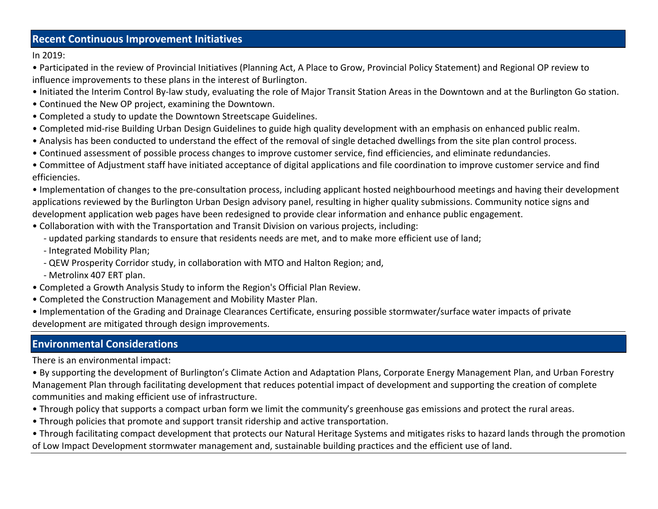### **Recent Continuous Improvement Initiatives**

In 2019:

• Participated in the review of Provincial Initiatives (Planning Act, A Place to Grow, Provincial Policy Statement) and Regional OP review to influence improvements to these plans in the interest of Burlington.

- Initiated the Interim Control By-law study, evaluating the role of Major Transit Station Areas in the Downtown and at the Burlington Go station.
- Continued the New OP project, examining the Downtown.
- Completed a study to update the Downtown Streetscape Guidelines.
- Completed mid-rise Building Urban Design Guidelines to guide high quality development with an emphasis on enhanced public realm.
- Analysis has been conducted to understand the effect of the removal of single detached dwellings from the site plan control process.
- ͻContinued assessment of possible process changes to improve customer service, find efficiencies, and eliminate redundancies.

• Committee of Adjustment staff have initiated acceptance of digital applications and file coordination to improve customer service and find efficiencies.

• Implementation of changes to the pre-consultation process, including applicant hosted neighbourhood meetings and having their development applications reviewed by the Burlington Urban Design advisory panel, resulting in higher quality submissions. Community notice signs and development application web pages have been redesigned to provide clear information and enhance public engagement.

- Collaboration with with the Transportation and Transit Division on various projects, including:
	- updated parking standards to ensure that residents needs are met, and to make more efficient use of land;
	- Integrated Mobility Plan;
	- QEW Prosperity Corridor study, in collaboration with MTO and Halton Region; and,
	- Metrolinx 407 ERT plan.
- Completed a Growth Analysis Study to inform the Region's Official Plan Review.
- Completed the Construction Management and Mobility Master Plan.

• Implementation of the Grading and Drainage Clearances Certificate, ensuring possible stormwater/surface water impacts of private development are mitigated through design improvements.

## **Environmental Considerations**

There is an environmental impact:

• By supporting the development of Burlington's Climate Action and Adaptation Plans, Corporate Energy Management Plan, and Urban Forestry Management Plan through facilitating development that reduces potential impact of development and supporting the creation of complete communities and making efficient use of infrastructure.

- Through policy that supports a compact urban form we limit the community's greenhouse gas emissions and protect the rural areas.
- Through policies that promote and support transit ridership and active transportation.

• Through facilitating compact development that protects our Natural Heritage Systems and mitigates risks to hazard lands through the promotion of Low Impact Development stormwater management and, sustainable building practices and the efficient use of land.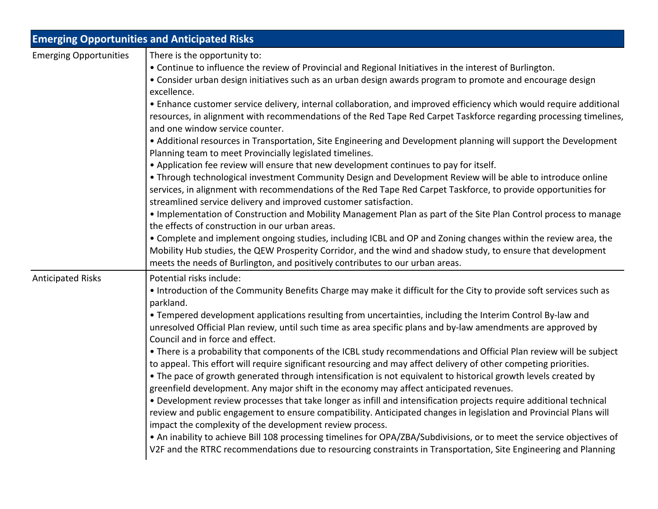|                               | <b>Emerging Opportunities and Anticipated Risks</b>                                                                                                                                                                                                                                                                                                                                                                                                                                                                                                                                                                                                                                                                                                                                                                                                                                                                                                                                                                                                                                                                                                                                                                                                                                                                                                                                                                                                                                                                                                                                                                           |
|-------------------------------|-------------------------------------------------------------------------------------------------------------------------------------------------------------------------------------------------------------------------------------------------------------------------------------------------------------------------------------------------------------------------------------------------------------------------------------------------------------------------------------------------------------------------------------------------------------------------------------------------------------------------------------------------------------------------------------------------------------------------------------------------------------------------------------------------------------------------------------------------------------------------------------------------------------------------------------------------------------------------------------------------------------------------------------------------------------------------------------------------------------------------------------------------------------------------------------------------------------------------------------------------------------------------------------------------------------------------------------------------------------------------------------------------------------------------------------------------------------------------------------------------------------------------------------------------------------------------------------------------------------------------------|
| <b>Emerging Opportunities</b> | There is the opportunity to:<br>. Continue to influence the review of Provincial and Regional Initiatives in the interest of Burlington.<br>• Consider urban design initiatives such as an urban design awards program to promote and encourage design<br>excellence.<br>• Enhance customer service delivery, internal collaboration, and improved efficiency which would require additional<br>resources, in alignment with recommendations of the Red Tape Red Carpet Taskforce regarding processing timelines,<br>and one window service counter.<br>• Additional resources in Transportation, Site Engineering and Development planning will support the Development<br>Planning team to meet Provincially legislated timelines.<br>. Application fee review will ensure that new development continues to pay for itself.<br>. Through technological investment Community Design and Development Review will be able to introduce online<br>services, in alignment with recommendations of the Red Tape Red Carpet Taskforce, to provide opportunities for<br>streamlined service delivery and improved customer satisfaction.<br>• Implementation of Construction and Mobility Management Plan as part of the Site Plan Control process to manage<br>the effects of construction in our urban areas.<br>• Complete and implement ongoing studies, including ICBL and OP and Zoning changes within the review area, the<br>Mobility Hub studies, the QEW Prosperity Corridor, and the wind and shadow study, to ensure that development<br>meets the needs of Burlington, and positively contributes to our urban areas. |
| <b>Anticipated Risks</b>      | Potential risks include:<br>• Introduction of the Community Benefits Charge may make it difficult for the City to provide soft services such as<br>parkland.<br>• Tempered development applications resulting from uncertainties, including the Interim Control By-law and<br>unresolved Official Plan review, until such time as area specific plans and by-law amendments are approved by<br>Council and in force and effect.<br>• There is a probability that components of the ICBL study recommendations and Official Plan review will be subject<br>to appeal. This effort will require significant resourcing and may affect delivery of other competing priorities.<br>• The pace of growth generated through intensification is not equivalent to historical growth levels created by<br>greenfield development. Any major shift in the economy may affect anticipated revenues.<br>• Development review processes that take longer as infill and intensification projects require additional technical<br>review and public engagement to ensure compatibility. Anticipated changes in legislation and Provincial Plans will<br>impact the complexity of the development review process.<br>• An inability to achieve Bill 108 processing timelines for OPA/ZBA/Subdivisions, or to meet the service objectives of<br>V2F and the RTRC recommendations due to resourcing constraints in Transportation, Site Engineering and Planning                                                                                                                                                                               |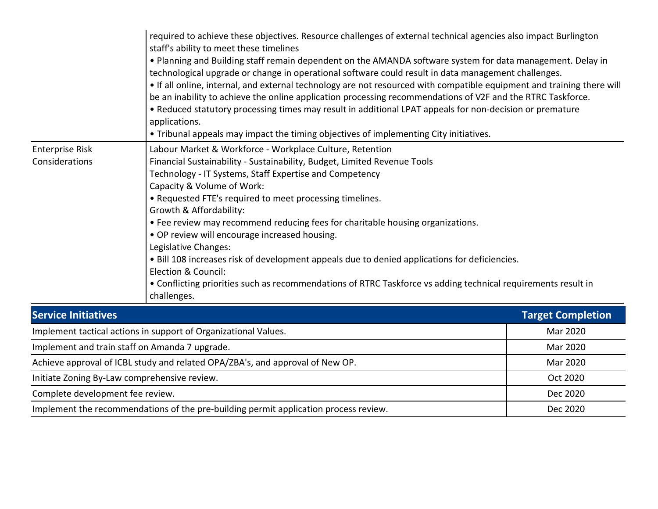| required to achieve these objectives. Resource challenges of external technical agencies also impact Burlington<br>staff's ability to meet these timelines<br>• Planning and Building staff remain dependent on the AMANDA software system for data management. Delay in<br>technological upgrade or change in operational software could result in data management challenges.<br>• If all online, internal, and external technology are not resourced with compatible equipment and training there will<br>be an inability to achieve the online application processing recommendations of V2F and the RTRC Taskforce.<br>• Reduced statutory processing times may result in additional LPAT appeals for non-decision or premature<br>applications.<br>. Tribunal appeals may impact the timing objectives of implementing City initiatives. |                                                                                                                                                                                                                                                                                                                                                                                                                                                                                                                                                                                                                                                                                                                                         |                          |  |  |
|------------------------------------------------------------------------------------------------------------------------------------------------------------------------------------------------------------------------------------------------------------------------------------------------------------------------------------------------------------------------------------------------------------------------------------------------------------------------------------------------------------------------------------------------------------------------------------------------------------------------------------------------------------------------------------------------------------------------------------------------------------------------------------------------------------------------------------------------|-----------------------------------------------------------------------------------------------------------------------------------------------------------------------------------------------------------------------------------------------------------------------------------------------------------------------------------------------------------------------------------------------------------------------------------------------------------------------------------------------------------------------------------------------------------------------------------------------------------------------------------------------------------------------------------------------------------------------------------------|--------------------------|--|--|
| <b>Enterprise Risk</b><br>Considerations                                                                                                                                                                                                                                                                                                                                                                                                                                                                                                                                                                                                                                                                                                                                                                                                       | Labour Market & Workforce - Workplace Culture, Retention<br>Financial Sustainability - Sustainability, Budget, Limited Revenue Tools<br>Technology - IT Systems, Staff Expertise and Competency<br>Capacity & Volume of Work:<br>• Requested FTE's required to meet processing timelines.<br>Growth & Affordability:<br>• Fee review may recommend reducing fees for charitable housing organizations.<br>. OP review will encourage increased housing.<br>Legislative Changes:<br>. Bill 108 increases risk of development appeals due to denied applications for deficiencies.<br>Election & Council:<br>• Conflicting priorities such as recommendations of RTRC Taskforce vs adding technical requirements result in<br>challenges. |                          |  |  |
| <b>Service Initiatives</b>                                                                                                                                                                                                                                                                                                                                                                                                                                                                                                                                                                                                                                                                                                                                                                                                                     |                                                                                                                                                                                                                                                                                                                                                                                                                                                                                                                                                                                                                                                                                                                                         | <b>Target Completion</b> |  |  |
|                                                                                                                                                                                                                                                                                                                                                                                                                                                                                                                                                                                                                                                                                                                                                                                                                                                | Implement tactical actions in support of Organizational Values.                                                                                                                                                                                                                                                                                                                                                                                                                                                                                                                                                                                                                                                                         | Mar 2020                 |  |  |
|                                                                                                                                                                                                                                                                                                                                                                                                                                                                                                                                                                                                                                                                                                                                                                                                                                                | Implement and train staff on Amanda 7 upgrade.                                                                                                                                                                                                                                                                                                                                                                                                                                                                                                                                                                                                                                                                                          | Mar 2020                 |  |  |
| Achieve approval of ICBL study and related OPA/ZBA's, and approval of New OP.                                                                                                                                                                                                                                                                                                                                                                                                                                                                                                                                                                                                                                                                                                                                                                  | Mar 2020                                                                                                                                                                                                                                                                                                                                                                                                                                                                                                                                                                                                                                                                                                                                |                          |  |  |
| Initiate Zoning By-Law comprehensive review.                                                                                                                                                                                                                                                                                                                                                                                                                                                                                                                                                                                                                                                                                                                                                                                                   | Oct 2020                                                                                                                                                                                                                                                                                                                                                                                                                                                                                                                                                                                                                                                                                                                                |                          |  |  |

Complete development fee review.  $\qquad \qquad$  Dec 2020

Implement the recommendations of the pre-building permit application process review. Dec 2020 Dec 2020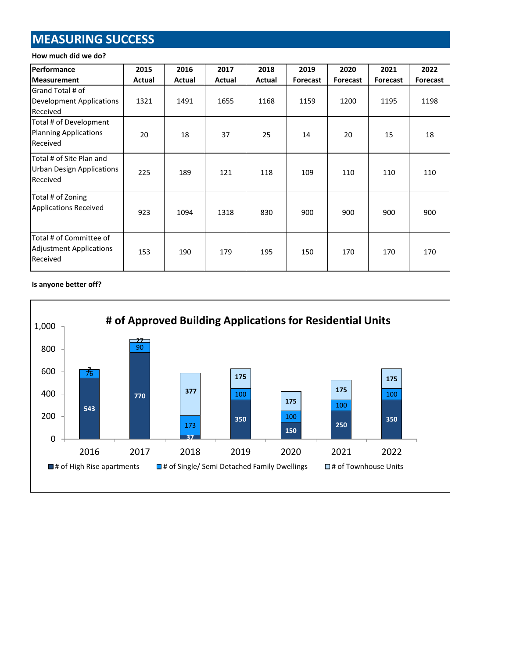# **MEASURING SUCCESS**

#### **How much did we do?**

| <b>Performance</b>                                                       | 2015   | 2016   | 2017   | 2018   | 2019            | 2020     | 2021            | 2022     |
|--------------------------------------------------------------------------|--------|--------|--------|--------|-----------------|----------|-----------------|----------|
| <b>Measurement</b>                                                       | Actual | Actual | Actual | Actual | <b>Forecast</b> | Forecast | <b>Forecast</b> | Forecast |
| Grand Total # of<br>Development Applications<br>Received                 | 1321   | 1491   | 1655   | 1168   | 1159            | 1200     | 1195            | 1198     |
| Total # of Development<br><b>Planning Applications</b><br>Received       | 20     | 18     | 37     | 25     | 14              | 20       | 15              | 18       |
| Total # of Site Plan and<br><b>Urban Design Applications</b><br>Received | 225    | 189    | 121    | 118    | 109             | 110      | 110             | 110      |
| Total # of Zoning<br><b>Applications Received</b>                        | 923    | 1094   | 1318   | 830    | 900             | 900      | 900             | 900      |
| Total # of Committee of<br>Adjustment Applications<br>Received           | 153    | 190    | 179    | 195    | 150             | 170      | 170             | 170      |

#### **Is anyone better off?**